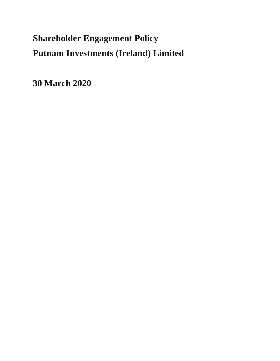# **Shareholder Engagement Policy Putnam Investments (Ireland) Limited**

**30 March 2020**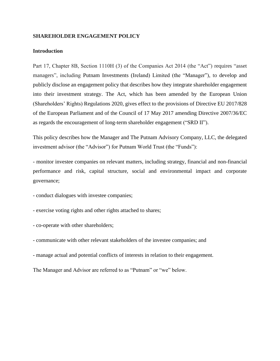### **SHAREHOLDER ENGAGEMENT POLICY**

### **Introduction**

Part 17, Chapter 8B, Section 1110H (3) of the Companies Act 2014 (the "Act") requires "asset managers", including Putnam Investments (Ireland) Limited (the "Manager"), to develop and publicly disclose an engagement policy that describes how they integrate shareholder engagement into their investment strategy. The Act, which has been amended by the European Union (Shareholders' Rights) Regulations 2020, gives effect to the provisions of Directive EU 2017/828 of the European Parliament and of the Council of 17 May 2017 amending Directive 2007/36/EC as regards the encouragement of long-term shareholder engagement ("SRD II").

This policy describes how the Manager and The Putnam Advisory Company, LLC, the delegated investment advisor (the "Advisor") for Putnam World Trust (the "Funds"):

- monitor investee companies on relevant matters, including strategy, financial and non-financial performance and risk, capital structure, social and environmental impact and corporate governance;

- conduct dialogues with investee companies;

- exercise voting rights and other rights attached to shares;

- co-operate with other shareholders;

- communicate with other relevant stakeholders of the investee companies; and

- manage actual and potential conflicts of interests in relation to their engagement.

The Manager and Advisor are referred to as "Putnam" or "we" below.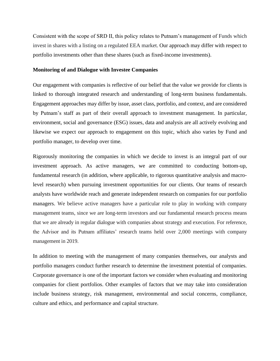Consistent with the scope of SRD II, this policy relates to Putnam's management of Funds which invest in shares with a listing on a regulated EEA market. Our approach may differ with respect to portfolio investments other than these shares (such as fixed-income investments).

#### **Monitoring of and Dialogue with Investee Companies**

Our engagement with companies is reflective of our belief that the value we provide for clients is linked to thorough integrated research and understanding of long-term business fundamentals. Engagement approaches may differ by issue, asset class, portfolio, and context, and are considered by Putnam's staff as part of their overall approach to investment management. In particular, environment, social and governance (ESG) issues, data and analysis are all actively evolving and likewise we expect our approach to engagement on this topic, which also varies by Fund and portfolio manager, to develop over time.

Rigorously monitoring the companies in which we decide to invest is an integral part of our investment approach. As active managers, we are committed to conducting bottom-up, fundamental research (in addition, where applicable, to rigorous quantitative analysis and macrolevel research) when pursuing investment opportunities for our clients. Our teams of research analysts have worldwide reach and generate independent research on companies for our portfolio managers. We believe active managers have a particular role to play in working with company management teams, since we are long-term investors and our fundamental research process means that we are already in regular dialogue with companies about strategy and execution. For reference, the Advisor and its Putnam affiliates' research teams held over 2,000 meetings with company management in 2019.

In addition to meeting with the management of many companies themselves, our analysts and portfolio managers conduct further research to determine the investment potential of companies. Corporate governance is one of the important factors we consider when evaluating and monitoring companies for client portfolios. Other examples of factors that we may take into consideration include business strategy, risk management, environmental and social concerns, compliance, culture and ethics, and performance and capital structure.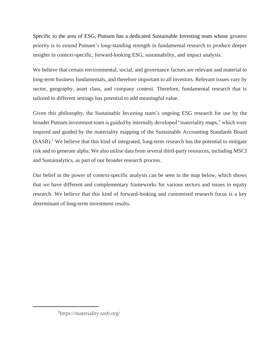Specific to the area of ESG, Putnam has a dedicated Sustainable Investing team whose greatest priority is to extend Putnam's long-standing strength in fundamental research to produce deeper insights in context-specific, forward-looking ESG, sustainability, and impact analysis.

We believe that certain environmental, social, and governance factors are relevant and material to long-term business fundamentals, and therefore important to all investors. Relevant issues vary by sector, geography, asset class, and company context. Therefore, fundamental research that is tailored to different settings has potential to add meaningful value.

Given this philosophy, the Sustainable Investing team's ongoing ESG research for use by the broader Putnam investment team is guided by internally developed "materiality maps," which were inspired and guided by the materiality mapping of the Sustainable Accounting Standards Board  $(SASB)<sup>1</sup>$  We believe that this kind of integrated, long-term research has the potential to mitigate risk and to generate alpha. We also utilise data from several third-party resources, including MSCI and Sustainalytics, as part of our broader research process.

Our belief in the power of context-specific analysis can be seen in the map below, which shows that we have different and complementary frameworks for various sectors and issues in equity research. We believe that this kind of forward-looking and customised research focus is a key determinant of long-term investment results.

<sup>1</sup> https://materiality.sasb.org/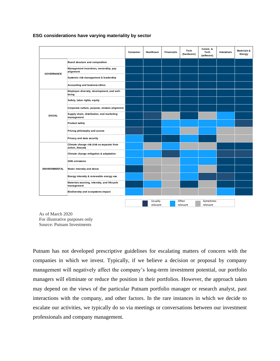|                      |                                                                | Consumer | <b>Healthcare</b>   | <b>Financials</b> | <b>Tech</b><br>(hardware) | Comm. &<br>Tech<br>(software) | Industrials | <b>Materials &amp;</b><br>Energy |
|----------------------|----------------------------------------------------------------|----------|---------------------|-------------------|---------------------------|-------------------------------|-------------|----------------------------------|
| <b>GOVERNANCE</b>    | Board structure and composition                                |          |                     |                   |                           |                               |             |                                  |
|                      | Management incentives, ownership, pay<br>alignment             |          |                     |                   |                           |                               |             |                                  |
|                      | Systemic risk management & leadership                          |          |                     |                   |                           |                               |             |                                  |
|                      | Accounting and business ethics                                 |          |                     |                   |                           |                               |             |                                  |
| <b>SOCIAL</b>        | Employee diversity, development, and well-<br>being            |          |                     |                   |                           |                               |             |                                  |
|                      | Safety, labor rights, equity                                   |          |                     |                   |                           |                               |             |                                  |
|                      | Corporate culture, purpose, mission alignment                  |          |                     |                   |                           |                               |             |                                  |
|                      | Supply chain, distribution, and marketing<br>management        |          |                     |                   |                           |                               |             |                                  |
|                      | <b>Product safety</b>                                          |          |                     |                   |                           |                               |             |                                  |
|                      | Pricing philosophy and access                                  |          |                     |                   |                           |                               |             |                                  |
|                      | Privacy and data security                                      |          |                     |                   |                           |                               |             |                                  |
| <b>ENVIRONMENTAL</b> | Climate change risk (risk as separate from<br>action, discuss) |          |                     |                   |                           |                               |             |                                  |
|                      | Climate change mitigation & adaptation                         |          |                     |                   |                           |                               |             |                                  |
|                      | <b>GHG emissions</b>                                           |          |                     |                   |                           |                               |             |                                  |
|                      | Water intensity and stress                                     |          |                     |                   |                           |                               |             |                                  |
|                      | Energy intensity & renewable energy use                        |          |                     |                   |                           |                               |             |                                  |
|                      | Materials sourcing, intensity, and lifecycle<br>management     |          |                     |                   |                           |                               |             |                                  |
|                      | Biodiversity and ecosystems impact                             |          |                     |                   |                           |                               |             |                                  |
|                      |                                                                |          | Usually<br>relevant |                   | Often<br>relevant         | Sometimes<br>relevant         |             |                                  |

### **ESG considerations have varying materiality by sector**

As of March 2020 For illustrative purposes only Source: Putnam Investments

Putnam has not developed prescriptive guidelines for escalating matters of concern with the companies in which we invest. Typically, if we believe a decision or proposal by company management will negatively affect the company's long-term investment potential, our portfolio managers will eliminate or reduce the position in their portfolios. However, the approach taken may depend on the views of the particular Putnam portfolio manager or research analyst, past interactions with the company, and other factors. In the rare instances in which we decide to escalate our activities, we typically do so via meetings or conversations between our investment professionals and company management.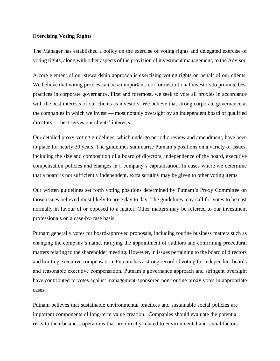#### **Exercising Voting Rights**

The Manager has established a policy on the exercise of voting rights and delegated exercise of voting rights, along with other aspects of the provision of investment management, to the Advisor.

A core element of our stewardship approach is exercising voting rights on behalf of our clients. We believe that voting proxies can be an important tool for institutional investors to promote best practices in corporate governance. First and foremost, we seek to vote all proxies in accordance with the best interests of our clients as investors. We believe that strong corporate governance at the companies in which we invest — most notably oversight by an independent board of qualified directors — best serves our clients' interests.

Our detailed proxy-voting guidelines, which undergo periodic review and amendment, have been in place for nearly 30 years. The guidelines summarise Putnam's positions on a variety of issues, including the size and composition of a board of directors, independence of the board, executive compensation policies and changes in a company's capitalisation. In cases where we determine that a board is not sufficiently independent, extra scrutiny may be given to other voting items.

Our written guidelines set forth voting positions determined by Putnam's Proxy Committee on those issues believed most likely to arise day to day. The guidelines may call for votes to be cast normally in favour of or opposed to a matter. Other matters may be referred to our investment professionals on a case-by-case basis.

Putnam generally votes for board-approved proposals, including routine business matters such as changing the company's name, ratifying the appointment of auditors and confirming procedural matters relating to the shareholder meeting. However, in issues pertaining to the board of directors and limiting executive compensation, Putnam has a strong record of voting for independent boards and reasonable executive compensation. Putnam's governance approach and stringent oversight have contributed to votes against management-sponsored non-routine proxy votes in appropriate cases.

Putnam believes that sustainable environmental practices and sustainable social policies are important components of long-term value creation. Companies should evaluate the potential risks to their business operations that are directly related to environmental and social factors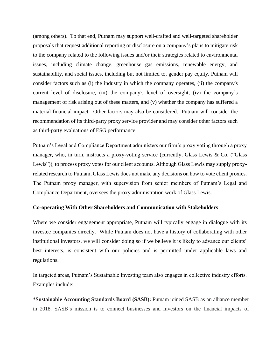(among others). To that end, Putnam may support well-crafted and well-targeted shareholder proposals that request additional reporting or disclosure on a company's plans to mitigate risk to the company related to the following issues and/or their strategies related to environmental issues, including climate change, greenhouse gas emissions, renewable energy, and sustainability, and social issues, including but not limited to, gender pay equity. Putnam will consider factors such as (i) the industry in which the company operates, (ii) the company's current level of disclosure, (iii) the company's level of oversight, (iv) the company's management of risk arising out of these matters, and (v) whether the company has suffered a material financial impact. Other factors may also be considered. Putnam will consider the recommendation of its third-party proxy service provider and may consider other factors such as third-party evaluations of ESG performance.

Putnam's Legal and Compliance Department administers our firm's proxy voting through a proxy manager, who, in turn, instructs a proxy-voting service (currently, Glass Lewis & Co. ("Glass") Lewis")), to process proxy votes for our client accounts. Although Glass Lewis may supply proxyrelated research to Putnam, Glass Lewis does not make any decisions on how to vote client proxies. The Putnam proxy manager, with supervision from senior members of Putnam's Legal and Compliance Department, oversees the proxy administration work of Glass Lewis.

#### **Co-operating With Other Shareholders and Communication with Stakeholders**

Where we consider engagement appropriate, Putnam will typically engage in dialogue with its investee companies directly. While Putnam does not have a history of collaborating with other institutional investors, we will consider doing so if we believe it is likely to advance our clients' best interests, is consistent with our policies and is permitted under applicable laws and regulations.

In targeted areas, Putnam's Sustainable Investing team also engages in collective industry efforts. Examples include:

**\*Sustainable Accounting Standards Board (SASB):** Putnam joined SASB as an alliance member in 2018. SASB's mission is to connect businesses and investors on the financial impacts of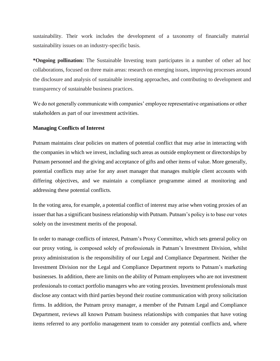sustainability. Their work includes the development of a taxonomy of financially material sustainability issues on an industry-specific basis.

**\*Ongoing pollination:** The Sustainable Investing team participates in a number of other ad hoc collaborations, focused on three main areas: research on emerging issues, improving processes around the disclosure and analysis of sustainable investing approaches, and contributing to development and transparency of sustainable business practices.

We do not generally communicate with companies' employee representative organisations or other stakeholders as part of our investment activities.

## **Managing Conflicts of Interest**

Putnam maintains clear policies on matters of potential conflict that may arise in interacting with the companies in which we invest, including such areas as outside employment or directorships by Putnam personnel and the giving and acceptance of gifts and other items of value. More generally, potential conflicts may arise for any asset manager that manages multiple client accounts with differing objectives, and we maintain a compliance programme aimed at monitoring and addressing these potential conflicts.

In the voting area, for example, a potential conflict of interest may arise when voting proxies of an issuer that has a significant business relationship with Putnam. Putnam's policy is to base our votes solely on the investment merits of the proposal.

In order to manage conflicts of interest, Putnam's Proxy Committee, which sets general policy on our proxy voting, is composed solely of professionals in Putnam's Investment Division, whilst proxy administration is the responsibility of our Legal and Compliance Department. Neither the Investment Division nor the Legal and Compliance Department reports to Putnam's marketing businesses. In addition, there are limits on the ability of Putnam employees who are not investment professionals to contact portfolio managers who are voting proxies. Investment professionals must disclose any contact with third parties beyond their routine communication with proxy solicitation firms. In addition, the Putnam proxy manager, a member of the Putnam Legal and Compliance Department, reviews all known Putnam business relationships with companies that have voting items referred to any portfolio management team to consider any potential conflicts and, where